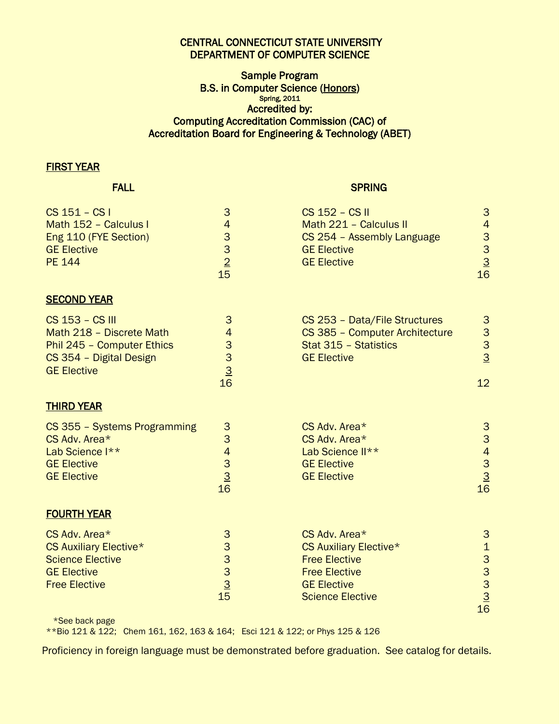# CENTRAL CONNECTICUT STATE UNIVERSITY DEPARTMENT OF COMPUTER SCIENCE

## Sample Program B.S. in Computer Science (Honors) Spring, 2011 Accredited by: Computing Accreditation Commission (CAC) of Accreditation Board for Engineering & Technology (ABET)

### FIRST YEAR

### **FALL SPRING SPRING**

| CS 151 - CS I<br>Math 152 - Calculus I<br>Eng 110 (FYE Section)<br><b>GE Elective</b><br><b>PE 144</b>                     | $\mathbf{3}$<br>$\overline{\mathbf{4}}$<br>$\begin{array}{c}\n3 \\ 3 \\ 2 \\ 15\n\end{array}$ | CS 152 - CS II<br>Math 221 - Calculus II<br>CS 254 - Assembly Language<br><b>GE Elective</b><br><b>GE Elective</b>                              | 3<br>$\overline{4}$<br>$\begin{array}{c}\n 3 \\  3 \\  \underline{3} \\  16\n \end{array}$ |
|----------------------------------------------------------------------------------------------------------------------------|-----------------------------------------------------------------------------------------------|-------------------------------------------------------------------------------------------------------------------------------------------------|--------------------------------------------------------------------------------------------|
| <b>SECOND YEAR</b>                                                                                                         |                                                                                               |                                                                                                                                                 |                                                                                            |
| CS 153 - CS III<br>Math 218 - Discrete Math<br>Phil 245 - Computer Ethics<br>CS 354 - Digital Design<br><b>GE Elective</b> | 3<br>4<br>3<br>3<br>$\overline{3}$<br>16                                                      | CS 253 - Data/File Structures<br>CS 385 - Computer Architecture<br>Stat 315 - Statistics<br><b>GE Elective</b>                                  | 3<br>3<br>$\frac{3}{2}$<br>12                                                              |
| <b>THIRD YEAR</b>                                                                                                          |                                                                                               |                                                                                                                                                 |                                                                                            |
| CS 355 - Systems Programming<br>CS Adv. Area*<br>Lab Science I**<br><b>GE Elective</b><br><b>GE Elective</b>               | $\frac{3}{3}$<br>$\begin{array}{c}\n4 \\ 3 \\ \underline{3} \\ 16\n\end{array}$               | CS Adv. Area*<br>CS Adv. Area*<br>Lab Science II**<br><b>GE Elective</b><br><b>GE Elective</b>                                                  | $\frac{3}{3}$<br>$\begin{array}{r} 4 \\ 3 \\ \underline{3} \\ 16 \end{array}$              |
| <b>FOURTH YEAR</b>                                                                                                         |                                                                                               |                                                                                                                                                 |                                                                                            |
| CS Adv. Area*<br><b>CS Auxiliary Elective*</b><br><b>Science Elective</b><br><b>GE Elective</b><br><b>Free Elective</b>    | 3<br>is a a a discription                                                                     | CS Adv. Area*<br><b>CS Auxiliary Elective*</b><br><b>Free Elective</b><br><b>Free Elective</b><br><b>GE Elective</b><br><b>Science Elective</b> | 3<br>$\mathbf{1}$<br>$\begin{array}{c}\n 3 \\  3 \\  \hline\n 16\n \end{array}$            |

\*See back page

\*\*Bio 121 & 122; Chem 161, 162, 163 & 164; Esci 121 & 122; or Phys 125 & 126

Proficiency in foreign language must be demonstrated before graduation. See catalog for details.